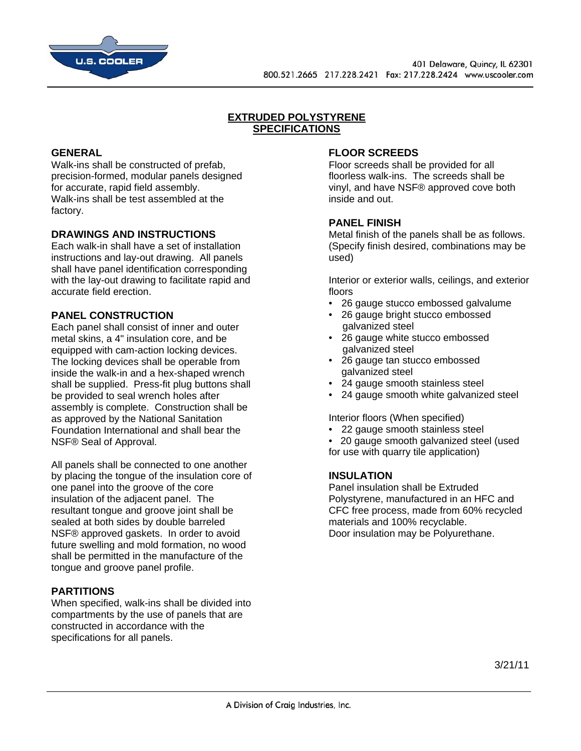

# **EXTRUDED POLYSTYRENE SPECIFICATIONS**

#### **GENERAL**

Walk-ins shall be constructed of prefab, precision-formed, modular panels designed for accurate, rapid field assembly. Walk-ins shall be test assembled at the factory.

# **DRAWINGS AND INSTRUCTIONS**

Each walk-in shall have a set of installation instructions and lay-out drawing. All panels shall have panel identification corresponding with the lay-out drawing to facilitate rapid and accurate field erection.

#### **PANEL CONSTRUCTION**

Each panel shall consist of inner and outer metal skins, a 4" insulation core, and be equipped with cam-action locking devices. The locking devices shall be operable from inside the walk-in and a hex-shaped wrench shall be supplied. Press-fit plug buttons shall be provided to seal wrench holes after assembly is complete. Construction shall be as approved by the National Sanitation Foundation International and shall bear the NSF® Seal of Approval.

All panels shall be connected to one another by placing the tongue of the insulation core of one panel into the groove of the core insulation of the adjacent panel. The resultant tongue and groove joint shall be sealed at both sides by double barreled NSF® approved gaskets. In order to avoid future swelling and mold formation, no wood shall be permitted in the manufacture of the tongue and groove panel profile.

# **PARTITIONS**

When specified, walk-ins shall be divided into compartments by the use of panels that are constructed in accordance with the specifications for all panels.

#### **FLOOR SCREEDS**

Floor screeds shall be provided for all floorless walk-ins. The screeds shall be vinyl, and have NSF® approved cove both inside and out.

#### **PANEL FINISH**

Metal finish of the panels shall be as follows. (Specify finish desired, combinations may be used)

Interior or exterior walls, ceilings, and exterior floors

- 26 gauge stucco embossed galvalume
- 26 gauge bright stucco embossed galvanized steel
- 26 gauge white stucco embossed galvanized steel
- 26 gauge tan stucco embossed galvanized steel
- 24 gauge smooth stainless steel
- 24 gauge smooth white galvanized steel

Interior floors (When specified)

- 22 gauge smooth stainless steel
- 20 gauge smooth galvanized steel (used for use with quarry tile application)

#### **INSULATION**

Panel insulation shall be Extruded Polystyrene, manufactured in an HFC and CFC free process, made from 60% recycled materials and 100% recyclable. Door insulation may be Polyurethane.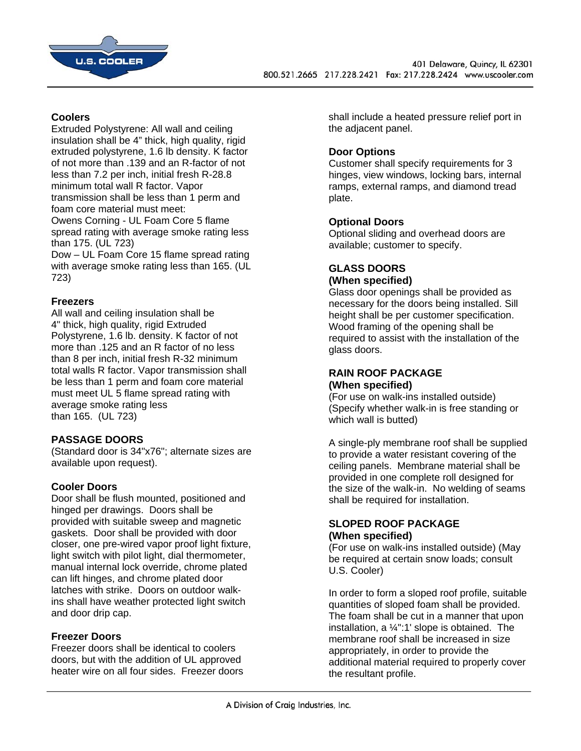

# **Coolers**

Extruded Polystyrene: All wall and ceiling insulation shall be 4" thick, high quality, rigid extruded polystyrene, 1.6 lb density. K factor of not more than .139 and an R-factor of not less than 7.2 per inch, initial fresh R-28.8 minimum total wall R factor. Vapor transmission shall be less than 1 perm and foam core material must meet: Owens Corning - UL Foam Core 5 flame spread rating with average smoke rating less than 175. (UL 723) Dow – UL Foam Core 15 flame spread rating with average smoke rating less than 165. (UL 723)

# **Freezers**

All wall and ceiling insulation shall be 4" thick, high quality, rigid Extruded Polystyrene, 1.6 lb. density. K factor of not more than .125 and an R factor of no less than 8 per inch, initial fresh R-32 minimum total walls R factor. Vapor transmission shall be less than 1 perm and foam core material must meet UL 5 flame spread rating with average smoke rating less than 165. (UL 723)

# **PASSAGE DOORS**

(Standard door is 34"x76"; alternate sizes are available upon request).

# **Cooler Doors**

Door shall be flush mounted, positioned and hinged per drawings. Doors shall be provided with suitable sweep and magnetic gaskets. Door shall be provided with door closer, one pre-wired vapor proof light fixture, light switch with pilot light, dial thermometer, manual internal lock override, chrome plated can lift hinges, and chrome plated door latches with strike. Doors on outdoor walkins shall have weather protected light switch and door drip cap.

# **Freezer Doors**

Freezer doors shall be identical to coolers doors, but with the addition of UL approved heater wire on all four sides. Freezer doors

shall include a heated pressure relief port in the adjacent panel.

# **Door Options**

Customer shall specify requirements for 3 hinges, view windows, locking bars, internal ramps, external ramps, and diamond tread plate.

# **Optional Doors**

Optional sliding and overhead doors are available; customer to specify.

### **GLASS DOORS (When specified)**

Glass door openings shall be provided as necessary for the doors being installed. Sill height shall be per customer specification. Wood framing of the opening shall be required to assist with the installation of the glass doors.

#### **RAIN ROOF PACKAGE (When specified)**

(For use on walk-ins installed outside) (Specify whether walk-in is free standing or which wall is butted)

A single-ply membrane roof shall be supplied to provide a water resistant covering of the ceiling panels. Membrane material shall be provided in one complete roll designed for the size of the walk-in. No welding of seams shall be required for installation.

#### **SLOPED ROOF PACKAGE (When specified)**

(For use on walk-ins installed outside) (May be required at certain snow loads; consult U.S. Cooler)

In order to form a sloped roof profile, suitable quantities of sloped foam shall be provided. The foam shall be cut in a manner that upon installation, a ¼":1' slope is obtained. The membrane roof shall be increased in size appropriately, in order to provide the additional material required to properly cover the resultant profile.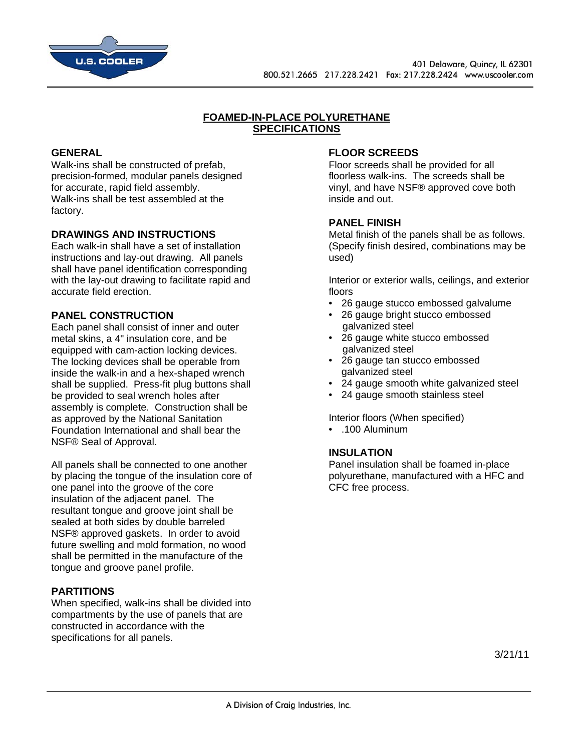

# **FOAMED-IN-PLACE POLYURETHANE SPECIFICATIONS**

#### **GENERAL**

Walk-ins shall be constructed of prefab, precision-formed, modular panels designed for accurate, rapid field assembly. Walk-ins shall be test assembled at the factory.

# **DRAWINGS AND INSTRUCTIONS**

Each walk-in shall have a set of installation instructions and lay-out drawing. All panels shall have panel identification corresponding with the lay-out drawing to facilitate rapid and accurate field erection.

#### **PANEL CONSTRUCTION**

Each panel shall consist of inner and outer metal skins, a 4" insulation core, and be equipped with cam-action locking devices. The locking devices shall be operable from inside the walk-in and a hex-shaped wrench shall be supplied. Press-fit plug buttons shall be provided to seal wrench holes after assembly is complete. Construction shall be as approved by the National Sanitation Foundation International and shall bear the NSF® Seal of Approval.

All panels shall be connected to one another by placing the tongue of the insulation core of one panel into the groove of the core insulation of the adjacent panel. The resultant tongue and groove joint shall be sealed at both sides by double barreled NSF® approved gaskets. In order to avoid future swelling and mold formation, no wood shall be permitted in the manufacture of the tongue and groove panel profile.

# **PARTITIONS**

When specified, walk-ins shall be divided into compartments by the use of panels that are constructed in accordance with the specifications for all panels.

#### **FLOOR SCREEDS**

Floor screeds shall be provided for all floorless walk-ins. The screeds shall be vinyl, and have NSF® approved cove both inside and out.

#### **PANEL FINISH**

Metal finish of the panels shall be as follows. (Specify finish desired, combinations may be used)

Interior or exterior walls, ceilings, and exterior floors

- 26 gauge stucco embossed galvalume
- 26 gauge bright stucco embossed galvanized steel
- 26 gauge white stucco embossed galvanized steel
- 26 gauge tan stucco embossed galvanized steel
- 24 gauge smooth white galvanized steel
- 24 gauge smooth stainless steel

Interior floors (When specified)

• .100 Aluminum

#### **INSULATION**

Panel insulation shall be foamed in-place polyurethane, manufactured with a HFC and CFC free process.